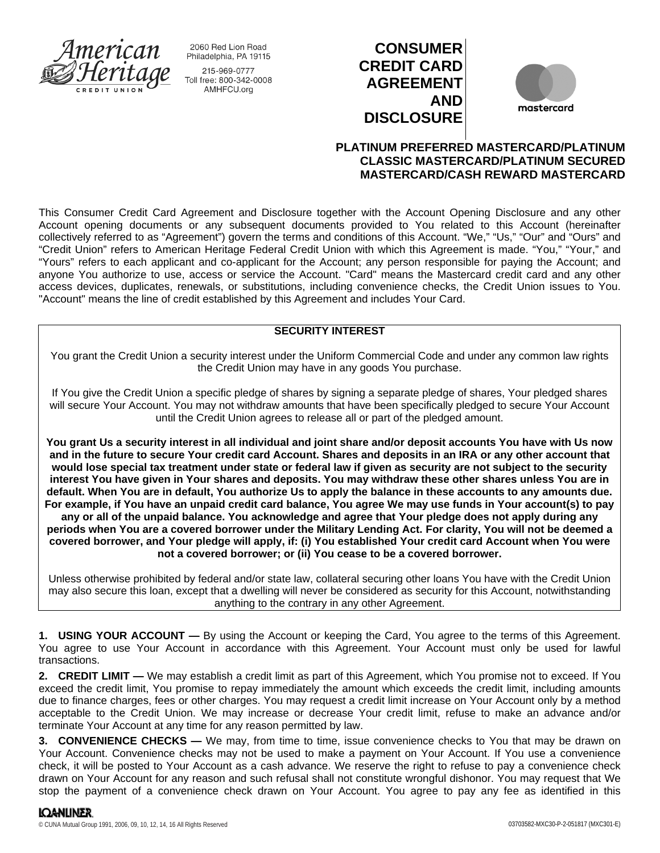

2060 Red Lion Road Philadelphia, PA 19115 215-969-0777 Toll free: 800-342-0008 AMHFCU.org

# **CONSUMER CREDIT CARD AGREEMENT AND DISCLOSURE**



## **PLATINUM PREFERRED MASTERCARD/PLATINUM CLASSIC MASTERCARD/PLATINUM SECURED MASTERCARD/CASH REWARD MASTERCARD**

This Consumer Credit Card Agreement and Disclosure together with the Account Opening Disclosure and any other Account opening documents or any subsequent documents provided to You related to this Account (hereinafter collectively referred to as "Agreement") govern the terms and conditions of this Account. "We," "Us," "Our" and "Ours" and "Credit Union" refers to American Heritage Federal Credit Union with which this Agreement is made. "You," "Your," and "Yours" refers to each applicant and co-applicant for the Account; any person responsible for paying the Account; and anyone You authorize to use, access or service the Account. "Card" means the Mastercard credit card and any other access devices, duplicates, renewals, or substitutions, including convenience checks, the Credit Union issues to You. "Account" means the line of credit established by this Agreement and includes Your Card.

## **SECURITY INTEREST**

You grant the Credit Union a security interest under the Uniform Commercial Code and under any common law rights the Credit Union may have in any goods You purchase.

If You give the Credit Union a specific pledge of shares by signing a separate pledge of shares, Your pledged shares will secure Your Account. You may not withdraw amounts that have been specifically pledged to secure Your Account until the Credit Union agrees to release all or part of the pledged amount.

**You grant Us a security interest in all individual and joint share and/or deposit accounts You have with Us now and in the future to secure Your credit card Account. Shares and deposits in an IRA or any other account that would lose special tax treatment under state or federal law if given as security are not subject to the security interest You have given in Your shares and deposits. You may withdraw these other shares unless You are in default. When You are in default, You authorize Us to apply the balance in these accounts to any amounts due. For example, if You have an unpaid credit card balance, You agree We may use funds in Your account(s) to pay any or all of the unpaid balance. You acknowledge and agree that Your pledge does not apply during any periods when You are a covered borrower under the Military Lending Act. For clarity, You will not be deemed a covered borrower, and Your pledge will apply, if: (i) You established Your credit card Account when You were not a covered borrower; or (ii) You cease to be a covered borrower.**

Unless otherwise prohibited by federal and/or state law, collateral securing other loans You have with the Credit Union may also secure this loan, except that a dwelling will never be considered as security for this Account, notwithstanding anything to the contrary in any other Agreement.

**1. USING YOUR ACCOUNT —** By using the Account or keeping the Card, You agree to the terms of this Agreement. You agree to use Your Account in accordance with this Agreement. Your Account must only be used for lawful transactions.

**2. CREDIT LIMIT —** We may establish a credit limit as part of this Agreement, which You promise not to exceed. If You exceed the credit limit, You promise to repay immediately the amount which exceeds the credit limit, including amounts due to finance charges, fees or other charges. You may request a credit limit increase on Your Account only by a method acceptable to the Credit Union. We may increase or decrease Your credit limit, refuse to make an advance and/or terminate Your Account at any time for any reason permitted by law.

**3. CONVENIENCE CHECKS —** We may, from time to time, issue convenience checks to You that may be drawn on Your Account. Convenience checks may not be used to make a payment on Your Account. If You use a convenience check, it will be posted to Your Account as a cash advance. We reserve the right to refuse to pay a convenience check drawn on Your Account for any reason and such refusal shall not constitute wrongful dishonor. You may request that We stop the payment of a convenience check drawn on Your Account. You agree to pay any fee as identified in this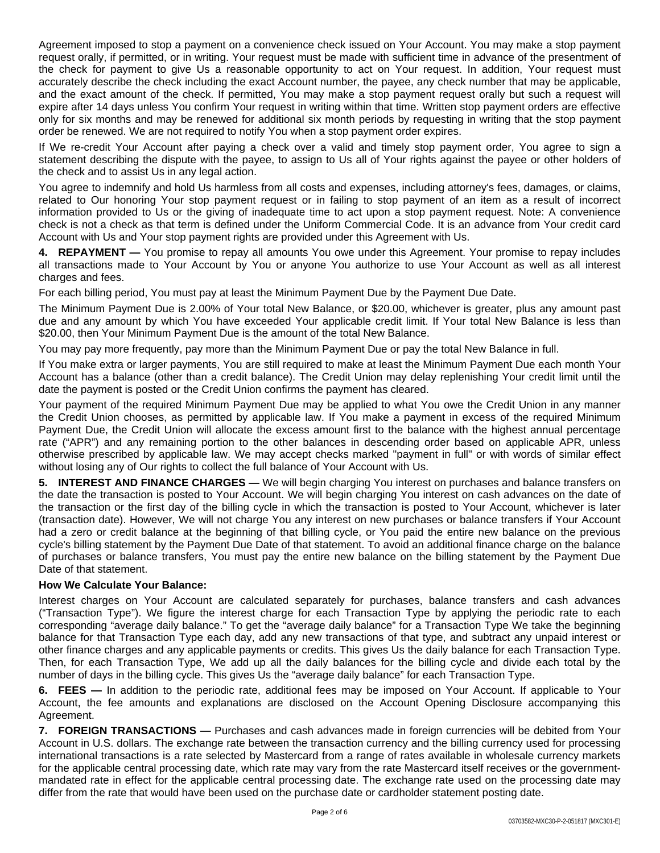Agreement imposed to stop a payment on a convenience check issued on Your Account. You may make a stop payment request orally, if permitted, or in writing. Your request must be made with sufficient time in advance of the presentment of the check for payment to give Us a reasonable opportunity to act on Your request. In addition, Your request must accurately describe the check including the exact Account number, the payee, any check number that may be applicable, and the exact amount of the check. If permitted, You may make a stop payment request orally but such a request will expire after 14 days unless You confirm Your request in writing within that time. Written stop payment orders are effective only for six months and may be renewed for additional six month periods by requesting in writing that the stop payment order be renewed. We are not required to notify You when a stop payment order expires.

If We re-credit Your Account after paying a check over a valid and timely stop payment order, You agree to sign a statement describing the dispute with the payee, to assign to Us all of Your rights against the payee or other holders of the check and to assist Us in any legal action.

You agree to indemnify and hold Us harmless from all costs and expenses, including attorney's fees, damages, or claims, related to Our honoring Your stop payment request or in failing to stop payment of an item as a result of incorrect information provided to Us or the giving of inadequate time to act upon a stop payment request. Note: A convenience check is not a check as that term is defined under the Uniform Commercial Code. It is an advance from Your credit card Account with Us and Your stop payment rights are provided under this Agreement with Us.

**4. REPAYMENT —** You promise to repay all amounts You owe under this Agreement. Your promise to repay includes all transactions made to Your Account by You or anyone You authorize to use Your Account as well as all interest charges and fees.

For each billing period, You must pay at least the Minimum Payment Due by the Payment Due Date.

The Minimum Payment Due is 2.00% of Your total New Balance, or \$20.00, whichever is greater, plus any amount past due and any amount by which You have exceeded Your applicable credit limit. If Your total New Balance is less than \$20.00, then Your Minimum Payment Due is the amount of the total New Balance.

You may pay more frequently, pay more than the Minimum Payment Due or pay the total New Balance in full.

If You make extra or larger payments, You are still required to make at least the Minimum Payment Due each month Your Account has a balance (other than a credit balance). The Credit Union may delay replenishing Your credit limit until the date the payment is posted or the Credit Union confirms the payment has cleared.

Your payment of the required Minimum Payment Due may be applied to what You owe the Credit Union in any manner the Credit Union chooses, as permitted by applicable law. If You make a payment in excess of the required Minimum Payment Due, the Credit Union will allocate the excess amount first to the balance with the highest annual percentage rate ("APR") and any remaining portion to the other balances in descending order based on applicable APR, unless otherwise prescribed by applicable law. We may accept checks marked "payment in full" or with words of similar effect without losing any of Our rights to collect the full balance of Your Account with Us.

**5. INTEREST AND FINANCE CHARGES —** We will begin charging You interest on purchases and balance transfers on the date the transaction is posted to Your Account. We will begin charging You interest on cash advances on the date of the transaction or the first day of the billing cycle in which the transaction is posted to Your Account, whichever is later (transaction date). However, We will not charge You any interest on new purchases or balance transfers if Your Account had a zero or credit balance at the beginning of that billing cycle, or You paid the entire new balance on the previous cycle's billing statement by the Payment Due Date of that statement. To avoid an additional finance charge on the balance of purchases or balance transfers, You must pay the entire new balance on the billing statement by the Payment Due Date of that statement.

## **How We Calculate Your Balance:**

Interest charges on Your Account are calculated separately for purchases, balance transfers and cash advances ("Transaction Type"). We figure the interest charge for each Transaction Type by applying the periodic rate to each corresponding "average daily balance." To get the "average daily balance" for a Transaction Type We take the beginning balance for that Transaction Type each day, add any new transactions of that type, and subtract any unpaid interest or other finance charges and any applicable payments or credits. This gives Us the daily balance for each Transaction Type. Then, for each Transaction Type, We add up all the daily balances for the billing cycle and divide each total by the number of days in the billing cycle. This gives Us the "average daily balance" for each Transaction Type.

**6. FEES —** In addition to the periodic rate, additional fees may be imposed on Your Account. If applicable to Your Account, the fee amounts and explanations are disclosed on the Account Opening Disclosure accompanying this Agreement.

**7. FOREIGN TRANSACTIONS —** Purchases and cash advances made in foreign currencies will be debited from Your Account in U.S. dollars. The exchange rate between the transaction currency and the billing currency used for processing international transactions is a rate selected by Mastercard from a range of rates available in wholesale currency markets for the applicable central processing date, which rate may vary from the rate Mastercard itself receives or the governmentmandated rate in effect for the applicable central processing date. The exchange rate used on the processing date may differ from the rate that would have been used on the purchase date or cardholder statement posting date.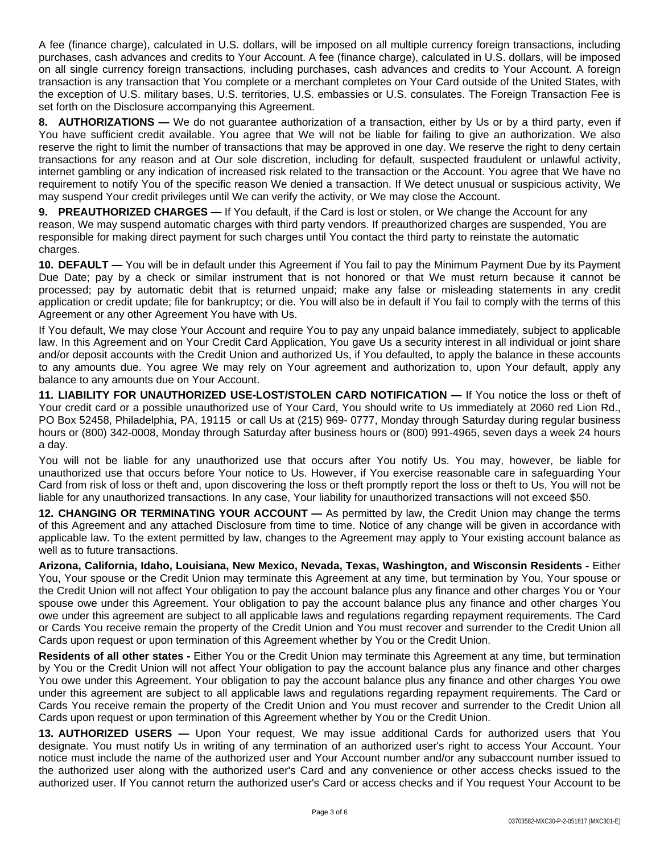A fee (finance charge), calculated in U.S. dollars, will be imposed on all multiple currency foreign transactions, including purchases, cash advances and credits to Your Account. A fee (finance charge), calculated in U.S. dollars, will be imposed on all single currency foreign transactions, including purchases, cash advances and credits to Your Account. A foreign transaction is any transaction that You complete or a merchant completes on Your Card outside of the United States, with the exception of U.S. military bases, U.S. territories, U.S. embassies or U.S. consulates. The Foreign Transaction Fee is set forth on the Disclosure accompanying this Agreement.

**8. AUTHORIZATIONS —** We do not guarantee authorization of a transaction, either by Us or by a third party, even if You have sufficient credit available. You agree that We will not be liable for failing to give an authorization. We also reserve the right to limit the number of transactions that may be approved in one day. We reserve the right to deny certain transactions for any reason and at Our sole discretion, including for default, suspected fraudulent or unlawful activity, internet gambling or any indication of increased risk related to the transaction or the Account. You agree that We have no requirement to notify You of the specific reason We denied a transaction. If We detect unusual or suspicious activity, We may suspend Your credit privileges until We can verify the activity, or We may close the Account.

**9. PREAUTHORIZED CHARGES —** If You default, if the Card is lost or stolen, or We change the Account for any reason, We may suspend automatic charges with third party vendors. If preauthorized charges are suspended, You are responsible for making direct payment for such charges until You contact the third party to reinstate the automatic charges.

**10. DEFAULT —** You will be in default under this Agreement if You fail to pay the Minimum Payment Due by its Payment Due Date; pay by a check or similar instrument that is not honored or that We must return because it cannot be processed; pay by automatic debit that is returned unpaid; make any false or misleading statements in any credit application or credit update; file for bankruptcy; or die. You will also be in default if You fail to comply with the terms of this Agreement or any other Agreement You have with Us.

If You default, We may close Your Account and require You to pay any unpaid balance immediately, subject to applicable law. In this Agreement and on Your Credit Card Application, You gave Us a security interest in all individual or joint share and/or deposit accounts with the Credit Union and authorized Us, if You defaulted, to apply the balance in these accounts to any amounts due. You agree We may rely on Your agreement and authorization to, upon Your default, apply any balance to any amounts due on Your Account.

**11. LIABILITY FOR UNAUTHORIZED USE-LOST/STOLEN CARD NOTIFICATION —** If You notice the loss or theft of Your credit card or a possible unauthorized use of Your Card, You should write to Us immediately at 2060 red Lion Rd., PO Box 52458, Philadelphia, PA, 19115 or call Us at (215) 969- 0777, Monday through Saturday during regular business hours or (800) 342-0008, Monday through Saturday after business hours or (800) 991-4965, seven days a week 24 hours a day.

You will not be liable for any unauthorized use that occurs after You notify Us. You may, however, be liable for unauthorized use that occurs before Your notice to Us. However, if You exercise reasonable care in safeguarding Your Card from risk of loss or theft and, upon discovering the loss or theft promptly report the loss or theft to Us, You will not be liable for any unauthorized transactions. In any case, Your liability for unauthorized transactions will not exceed \$50.

**12. CHANGING OR TERMINATING YOUR ACCOUNT —** As permitted by law, the Credit Union may change the terms of this Agreement and any attached Disclosure from time to time. Notice of any change will be given in accordance with applicable law. To the extent permitted by law, changes to the Agreement may apply to Your existing account balance as well as to future transactions.

**Arizona, California, Idaho, Louisiana, New Mexico, Nevada, Texas, Washington, and Wisconsin Residents -** Either You, Your spouse or the Credit Union may terminate this Agreement at any time, but termination by You, Your spouse or the Credit Union will not affect Your obligation to pay the account balance plus any finance and other charges You or Your spouse owe under this Agreement. Your obligation to pay the account balance plus any finance and other charges You owe under this agreement are subject to all applicable laws and regulations regarding repayment requirements. The Card or Cards You receive remain the property of the Credit Union and You must recover and surrender to the Credit Union all Cards upon request or upon termination of this Agreement whether by You or the Credit Union.

**Residents of all other states -** Either You or the Credit Union may terminate this Agreement at any time, but termination by You or the Credit Union will not affect Your obligation to pay the account balance plus any finance and other charges You owe under this Agreement. Your obligation to pay the account balance plus any finance and other charges You owe under this agreement are subject to all applicable laws and regulations regarding repayment requirements. The Card or Cards You receive remain the property of the Credit Union and You must recover and surrender to the Credit Union all Cards upon request or upon termination of this Agreement whether by You or the Credit Union.

**13. AUTHORIZED USERS —** Upon Your request, We may issue additional Cards for authorized users that You designate. You must notify Us in writing of any termination of an authorized user's right to access Your Account. Your notice must include the name of the authorized user and Your Account number and/or any subaccount number issued to the authorized user along with the authorized user's Card and any convenience or other access checks issued to the authorized user. If You cannot return the authorized user's Card or access checks and if You request Your Account to be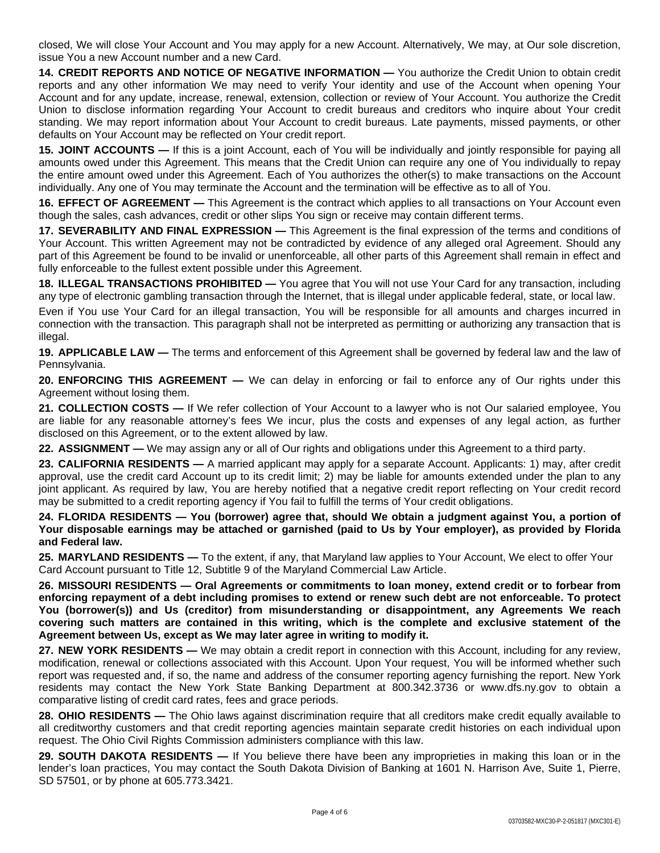closed, We will close Your Account and You may apply for a new Account. Alternatively, We may, at Our sole discretion, issue You a new Account number and a new Card.

**14. CREDIT REPORTS AND NOTICE OF NEGATIVE INFORMATION —** You authorize the Credit Union to obtain credit reports and any other information We may need to verify Your identity and use of the Account when opening Your Account and for any update, increase, renewal, extension, collection or review of Your Account. You authorize the Credit Union to disclose information regarding Your Account to credit bureaus and creditors who inquire about Your credit standing. We may report information about Your Account to credit bureaus. Late payments, missed payments, or other defaults on Your Account may be reflected on Your credit report.

**15. JOINT ACCOUNTS —** If this is a joint Account, each of You will be individually and jointly responsible for paying all amounts owed under this Agreement. This means that the Credit Union can require any one of You individually to repay the entire amount owed under this Agreement. Each of You authorizes the other(s) to make transactions on the Account individually. Any one of You may terminate the Account and the termination will be effective as to all of You.

**16. EFFECT OF AGREEMENT —** This Agreement is the contract which applies to all transactions on Your Account even though the sales, cash advances, credit or other slips You sign or receive may contain different terms.

**17. SEVERABILITY AND FINAL EXPRESSION —** This Agreement is the final expression of the terms and conditions of Your Account. This written Agreement may not be contradicted by evidence of any alleged oral Agreement. Should any part of this Agreement be found to be invalid or unenforceable, all other parts of this Agreement shall remain in effect and fully enforceable to the fullest extent possible under this Agreement.

**18. ILLEGAL TRANSACTIONS PROHIBITED —** You agree that You will not use Your Card for any transaction, including any type of electronic gambling transaction through the Internet, that is illegal under applicable federal, state, or local law.

Even if You use Your Card for an illegal transaction, You will be responsible for all amounts and charges incurred in connection with the transaction. This paragraph shall not be interpreted as permitting or authorizing any transaction that is illegal.

**19. APPLICABLE LAW —** The terms and enforcement of this Agreement shall be governed by federal law and the law of Pennsylvania.

**20. ENFORCING THIS AGREEMENT —** We can delay in enforcing or fail to enforce any of Our rights under this Agreement without losing them.

**21. COLLECTION COSTS —** If We refer collection of Your Account to a lawyer who is not Our salaried employee, You are liable for any reasonable attorney's fees We incur, plus the costs and expenses of any legal action, as further disclosed on this Agreement, or to the extent allowed by law.

**22. ASSIGNMENT —** We may assign any or all of Our rights and obligations under this Agreement to a third party.

**23. CALIFORNIA RESIDENTS —** A married applicant may apply for a separate Account. Applicants: 1) may, after credit approval, use the credit card Account up to its credit limit; 2) may be liable for amounts extended under the plan to any joint applicant. As required by law, You are hereby notified that a negative credit report reflecting on Your credit record may be submitted to a credit reporting agency if You fail to fulfill the terms of Your credit obligations.

24. FLORIDA RESIDENTS — You (borrower) agree that, should We obtain a judgment against You, a portion of Your disposable earnings may be attached or garnished (paid to Us by Your employer), as provided by Florida **and Federal law.**

**25. MARYLAND RESIDENTS —** To the extent, if any, that Maryland law applies to Your Account, We elect to offer Your Card Account pursuant to Title 12, Subtitle 9 of the Maryland Commercial Law Article.

**26. MISSOURI RESIDENTS — Oral Agreements or commitments to loan money, extend credit or to forbear from** enforcing repayment of a debt including promises to extend or renew such debt are not enforceable. To protect **You (borrower(s)) and Us (creditor) from misunderstanding or disappointment, any Agreements We reach covering such matters are contained in this writing, which is the complete and exclusive statement of the Agreement between Us, except as We may later agree in writing to modify it.**

**27. NEW YORK RESIDENTS —** We may obtain a credit report in connection with this Account, including for any review, modification, renewal or collections associated with this Account. Upon Your request, You will be informed whether such report was requested and, if so, the name and address of the consumer reporting agency furnishing the report. New York residents may contact the New York State Banking Department at 800.342.3736 or www.dfs.ny.gov to obtain a comparative listing of credit card rates, fees and grace periods.

**28. OHIO RESIDENTS** — The Ohio laws against discrimination require that all creditors make credit equally available to all creditworthy customers and that credit reporting agencies maintain separate credit histories on each individual upon request. The Ohio Civil Rights Commission administers compliance with this law.

**29. SOUTH DAKOTA RESIDENTS —** If You believe there have been any improprieties in making this loan or in the lender's loan practices, You may contact the South Dakota Division of Banking at 1601 N. Harrison Ave, Suite 1, Pierre, SD 57501, or by phone at 605.773.3421.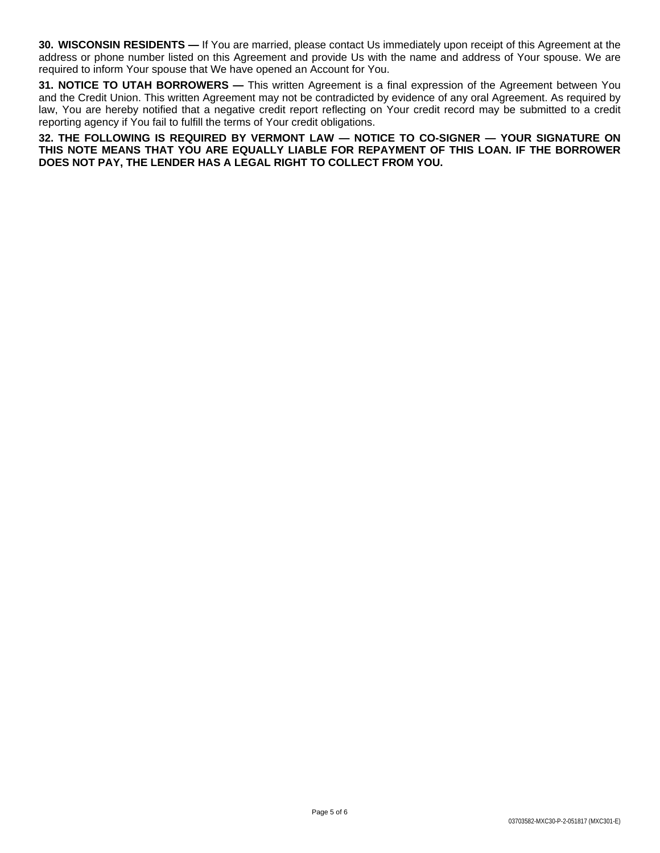**30. WISCONSIN RESIDENTS —** If You are married, please contact Us immediately upon receipt of this Agreement at the address or phone number listed on this Agreement and provide Us with the name and address of Your spouse. We are required to inform Your spouse that We have opened an Account for You.

**31. NOTICE TO UTAH BORROWERS —** This written Agreement is a final expression of the Agreement between You and the Credit Union. This written Agreement may not be contradicted by evidence of any oral Agreement. As required by law, You are hereby notified that a negative credit report reflecting on Your credit record may be submitted to a credit reporting agency if You fail to fulfill the terms of Your credit obligations.

**32. THE FOLLOWING IS REQUIRED BY VERMONT LAW — NOTICE TO CO-SIGNER — YOUR SIGNATURE ON THIS NOTE MEANS THAT YOU ARE EQUALLY LIABLE FOR REPAYMENT OF THIS LOAN. IF THE BORROWER DOES NOT PAY, THE LENDER HAS A LEGAL RIGHT TO COLLECT FROM YOU.**